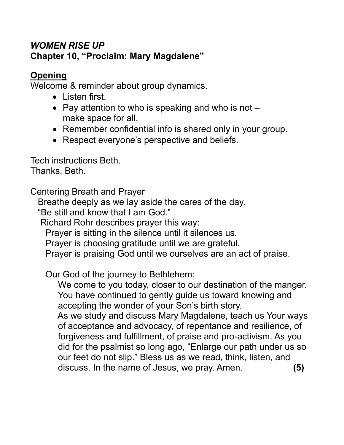# *WOMEN RISE UP* **Chapter 10, "Proclaim: Mary Magdalene"**

# **Opening**

Welcome & reminder about group dynamics.

- Listen first.
- Pay attention to who is speaking and who is not  $$ make space for all.
- Remember confidential info is shared only in your group.
- Respect everyone's perspective and beliefs.

Tech instructions Beth. Thanks, Beth.

Centering Breath and Prayer

Breathe deeply as we lay aside the cares of the day.

"Be still and know that I am God."

Richard Rohr describes prayer this way:

Prayer is sitting in the silence until it silences us.

Prayer is choosing gratitude until we are grateful.

Prayer is praising God until we ourselves are an act of praise.

Our God of the journey to Bethlehem:

 We come to you today, closer to our destination of the manger. You have continued to gently guide us toward knowing and accepting the wonder of your Son's birth story.

 As we study and discuss Mary Magdalene, teach us Your ways of acceptance and advocacy, of repentance and resilience, of forgiveness and fulfillment, of praise and pro-activism. As you did for the psalmist so long ago, "Enlarge our path under us so our feet do not slip." Bless us as we read, think, listen, and discuss. In the name of Jesus, we pray. Amen. **(5)**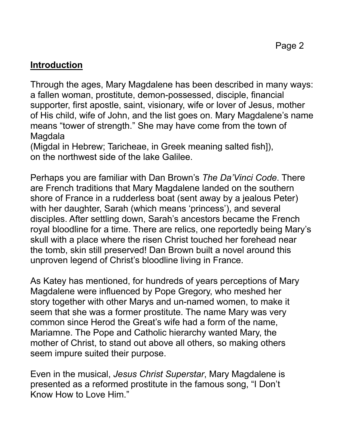# **Introduction**

Through the ages, Mary Magdalene has been described in many ways: a fallen woman, prostitute, demon-possessed, disciple, financial supporter, first apostle, saint, visionary, wife or lover of Jesus, mother of His child, wife of John, and the list goes on. Mary Magdalene's name means "tower of strength." She may have come from the town of Magdala

(Migdal in Hebrew; Taricheae, in Greek meaning salted fish]), on the northwest side of the lake Galilee.

Perhaps you are familiar with Dan Brown's *The Da'Vinci Code*. There are French traditions that Mary Magdalene landed on the southern shore of France in a rudderless boat (sent away by a jealous Peter) with her daughter, Sarah (which means 'princess'), and several disciples. After settling down, Sarah's ancestors became the French royal bloodline for a time. There are relics, one reportedly being Mary's skull with a place where the risen Christ touched her forehead near the tomb, skin still preserved! Dan Brown built a novel around this unproven legend of Christ's bloodline living in France.

As Katey has mentioned, for hundreds of years perceptions of Mary Magdalene were influenced by Pope Gregory, who meshed her story together with other Marys and un-named women, to make it seem that she was a former prostitute. The name Mary was very common since Herod the Great's wife had a form of the name, Mariamne. The Pope and Catholic hierarchy wanted Mary, the mother of Christ, to stand out above all others, so making others seem impure suited their purpose.

Even in the musical, *Jesus Christ Superstar*, Mary Magdalene is presented as a reformed prostitute in the famous song, "I Don't Know How to Love Him."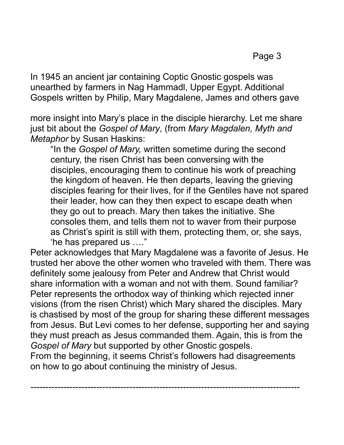In 1945 an ancient jar containing Coptic Gnostic gospels was unearthed by farmers in Nag Hammadl, Upper Egypt. Additional Gospels written by Philip, Mary Magdalene, James and others gave

more insight into Mary's place in the disciple hierarchy. Let me share just bit about the *Gospel of Mary*, (from *Mary Magdalen, Myth and Metaphor* by Susan Haskins:

"In the *Gospel of Mary,* written sometime during the second century, the risen Christ has been conversing with the disciples, encouraging them to continue his work of preaching the kingdom of heaven. He then departs, leaving the grieving disciples fearing for their lives, for if the Gentiles have not spared their leader, how can they then expect to escape death when they go out to preach. Mary then takes the initiative. She consoles them, and tells them not to waver from their purpose as Christ's spirit is still with them, protecting them, or, she says, 'he has prepared us …."

Peter acknowledges that Mary Magdalene was a favorite of Jesus. He trusted her above the other women who traveled with them. There was definitely some jealousy from Peter and Andrew that Christ would share information with a woman and not with them. Sound familiar? Peter represents the orthodox way of thinking which rejected inner visions (from the risen Christ) which Mary shared the disciples. Mary is chastised by most of the group for sharing these different messages from Jesus. But Levi comes to her defense, supporting her and saying they must preach as Jesus commanded them. Again, this is from the *Gospel of Mary* but supported by other Gnostic gospels.

From the beginning, it seems Christ's followers had disagreements on how to go about continuing the ministry of Jesus.

*------------------------------------------------------------------------------------------*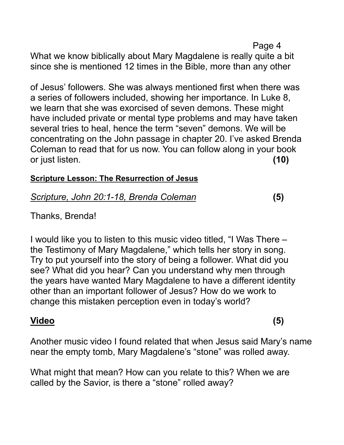Page 4 What we know biblically about Mary Magdalene is really quite a bit since she is mentioned 12 times in the Bible, more than any other

of Jesus' followers. She was always mentioned first when there was a series of followers included, showing her importance. In Luke 8, we learn that she was exorcised of seven demons. These might have included private or mental type problems and may have taken several tries to heal, hence the term "seven" demons. We will be concentrating on the John passage in chapter 20. I've asked Brenda Coleman to read that for us now. You can follow along in your book or just listen. **(10)**

#### **Scripture Lesson: The Resurrection of Jesus**

## *Scripture, John 20:1-18, Brenda Coleman* **(5)**

Thanks, Brenda!

I would like you to listen to this music video titled, "I Was There – the Testimony of Mary Magdalene," which tells her story in song. Try to put yourself into the story of being a follower. What did you see? What did you hear? Can you understand why men through the years have wanted Mary Magdalene to have a different identity other than an important follower of Jesus? How do we work to change this mistaken perception even in today's world?

#### **Video (5)**

Another music video I found related that when Jesus said Mary's name near the empty tomb, Mary Magdalene's "stone" was rolled away.

What might that mean? How can you relate to this? When we are called by the Savior, is there a "stone" rolled away?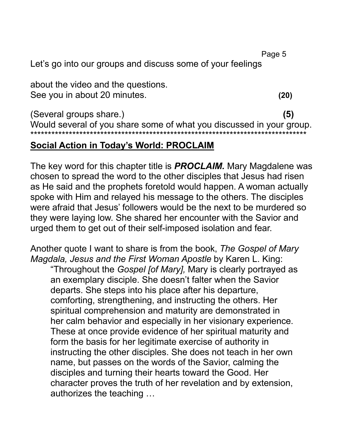Page 5

Let's go into our groups and discuss some of your feelings

about the video and the questions. See you in about 20 minutes. **(20)**

(Several groups share.) **(5)** Would several of you share some of what you discussed in your group. \*\*\*\*\*\*\*\*\*\*\*\*\*\*\*\*\*\*\*\*\*\*\*\*\*\*\*\*\*\*\*\*\*\*\*\*\*\*\*\*\*\*\*\*\*\*\*\*\*\*\*\*\*\*\*\*\*\*\*\*\*\*\*\*\*\*\*\*\*\*\*\*\*\*\*\*\*\*\*

# **Social Action in Today's World: PROCLAIM**

The key word for this chapter title is *PROCLAIM.* Mary Magdalene was chosen to spread the word to the other disciples that Jesus had risen as He said and the prophets foretold would happen. A woman actually spoke with Him and relayed his message to the others. The disciples were afraid that Jesus' followers would be the next to be murdered so they were laying low. She shared her encounter with the Savior and urged them to get out of their self-imposed isolation and fear.

Another quote I want to share is from the book, *The Gospel of Mary Magdala, Jesus and the First Woman Apostle* by Karen L. King: "Throughout the *Gospel [of Mary],* Mary is clearly portrayed as an exemplary disciple. She doesn't falter when the Savior departs. She steps into his place after his departure, comforting, strengthening, and instructing the others. Her spiritual comprehension and maturity are demonstrated in her calm behavior and especially in her visionary experience. These at once provide evidence of her spiritual maturity and form the basis for her legitimate exercise of authority in instructing the other disciples. She does not teach in her own name, but passes on the words of the Savior, calming the disciples and turning their hearts toward the Good. Her character proves the truth of her revelation and by extension, authorizes the teaching …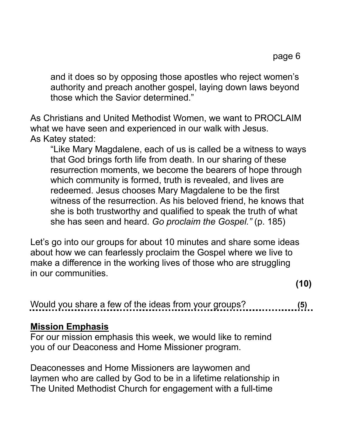and it does so by opposing those apostles who reject women's authority and preach another gospel, laying down laws beyond those which the Savior determined."

As Christians and United Methodist Women, we want to PROCLAIM what we have seen and experienced in our walk with Jesus. As Katey stated:

"Like Mary Magdalene, each of us is called be a witness to ways that God brings forth life from death. In our sharing of these resurrection moments, we become the bearers of hope through which community is formed, truth is revealed, and lives are redeemed. Jesus chooses Mary Magdalene to be the first witness of the resurrection. As his beloved friend, he knows that she is both trustworthy and qualified to speak the truth of what she has seen and heard. *Go proclaim the Gospel."* (p. 185)

Let's go into our groups for about 10 minutes and share some ideas about how we can fearlessly proclaim the Gospel where we live to make a difference in the working lives of those who are struggling in our communities.

**(10)**

Would you share a few of the ideas from your groups? **(5)**

## **Mission Emphasis**

For our mission emphasis this week, we would like to remind you of our Deaconess and Home Missioner program.

Deaconesses and Home Missioners are laywomen and laymen who are called by God to be in a lifetime relationship in The United Methodist Church for engagement with a full-time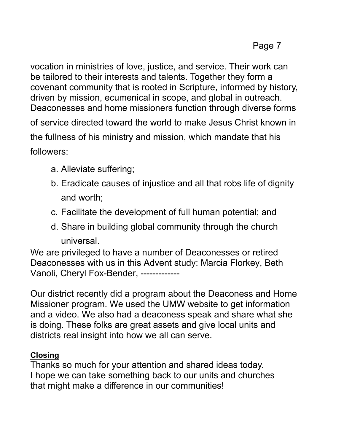vocation in ministries of love, justice, and service. Their work can be tailored to their interests and talents. Together they form a covenant community that is rooted in Scripture, informed by history, driven by mission, ecumenical in scope, and global in outreach. Deaconesses and home missioners function through diverse forms

of service directed toward the world to make Jesus Christ known in the fullness of his ministry and mission, which mandate that his followers:

- a. Alleviate suffering;
- b. Eradicate causes of injustice and all that robs life of dignity and worth;
- c. Facilitate the development of full human potential; and
- d. Share in building global community through the church universal.

We are privileged to have a number of Deaconesses or retired Deaconesses with us in this Advent study: Marcia Florkey, Beth Vanoli, Cheryl Fox-Bender, -------------

Our district recently did a program about the Deaconess and Home Missioner program. We used the UMW website to get information and a video. We also had a deaconess speak and share what she is doing. These folks are great assets and give local units and districts real insight into how we all can serve.

## **Closing**

Thanks so much for your attention and shared ideas today. I hope we can take something back to our units and churches that might make a difference in our communities!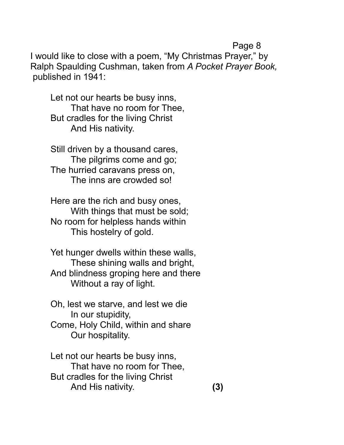#### Page 8

I would like to close with a poem, "My Christmas Prayer," by Ralph Spaulding Cushman, taken from *A Pocket Prayer Book,* published in 1941:

Let not our hearts be busy inns, That have no room for Thee, But cradles for the living Christ And His nativity.

Still driven by a thousand cares, The pilgrims come and go; The hurried caravans press on, The inns are crowded so!

Here are the rich and busy ones, With things that must be sold; No room for helpless hands within This hostelry of gold.

Yet hunger dwells within these walls, These shining walls and bright, And blindness groping here and there Without a ray of light.

Oh, lest we starve, and lest we die In our stupidity, Come, Holy Child, within and share Our hospitality.

Let not our hearts be busy inns, That have no room for Thee, But cradles for the living Christ And His nativity. **(3)**